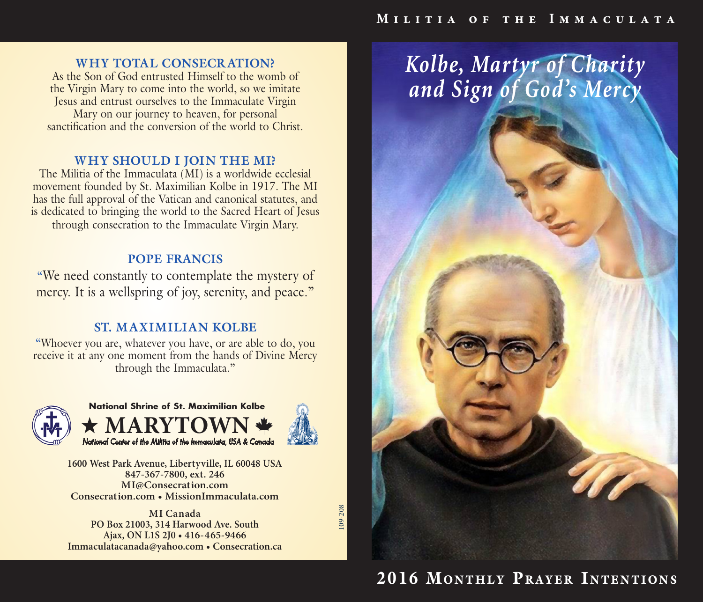## **WHY TOTAL CONSECR ATION?**

As the Son of God entrusted Himself to the womb of the Virgin Mary to come into the world, so we imitate Jesus and entrust ourselves to the Immaculate Virgin Mary on our journey to heaven, for personal sanctification and the conversion of the world to Christ.

#### **WHY SHOULD I JOIN THE MI?**

The Militia of the Immaculata (MI) is a worldwide ecclesial movement founded by St. Maximilian Kolbe in 1917. The MI has the full approval of the Vatican and canonical statutes, and is dedicated to bringing the world to the Sacred Heart of Jesus through consecration to the Immaculate Virgin Mary.

#### **POPE FRANCIS**

"We need constantly to contemplate the mystery of mercy. It is a wellspring of joy, serenity, and peace."

## **ST. MAXIMILIAN KOLBE**

"Whoever you are, whatever you have, or are able to do, you receive it at any one moment from the hands of Divine Mercy through the Immaculata."



**MARY National Shrine of St. Maximilian Kolbe** *National Center of the Militia of the Immaculata, USA & Canada*



109-208

09-208

**1600 West Park Avenue, Libertyville, IL 60048 USA 847-367-7800, ext. 246 MI@Consecration.com Consecration.com • MissionImmaculata.com**

**MI Canada PO Box 21003, 314 Harwood Ave. South Ajax, ON L1S 2J0 • 416-465-9466 Immaculatacanada@yahoo.com • Consecration.ca** *Kolbe, Martyr of Charity and Sign of God's Mercy*

# 2016 MONTHLY PRAYER INTENTIONS